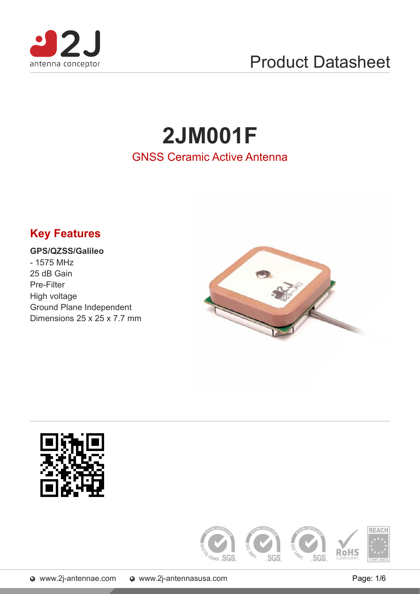

# Product Datasheet

# **2JM001F** GNSS Ceramic Active Antenna

# **Key Features**

#### **GPS/QZSS/Galileo** - 1575 MHz 25 dB Gain Pre-Filter High voltage Ground Plane Independent

Dimensions 25 x 25 x 7.7 mm



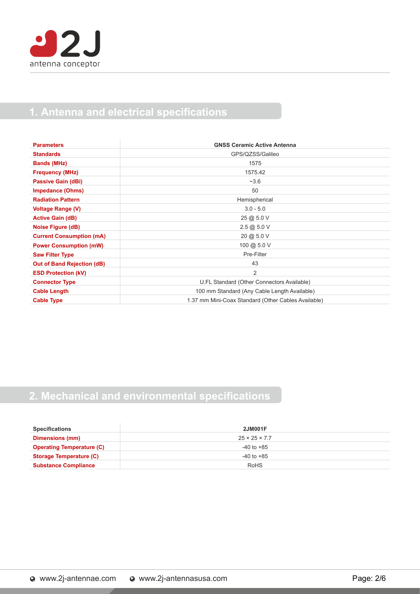

### **1. Antenna and electrical specifications**

| <b>Parameters</b>                 | <b>GNSS Ceramic Active Antenna</b>                  |
|-----------------------------------|-----------------------------------------------------|
| <b>Standards</b>                  | GPS/QZSS/Galileo                                    |
| <b>Bands (MHz)</b>                | 1575                                                |
| <b>Frequency (MHz)</b>            | 1575.42                                             |
| Passive Gain (dBi)                | $-3.6$                                              |
| <b>Impedance (Ohms)</b>           | 50                                                  |
| <b>Radiation Pattern</b>          | Hemispherical                                       |
| <b>Voltage Range (V)</b>          | $3.0 - 5.0$                                         |
| <b>Active Gain (dB)</b>           | 25 @ 5.0 V                                          |
| Noise Figure (dB)                 | 2.5@5.0V                                            |
| <b>Current Consumption (mA)</b>   | 20 @ 5.0 V                                          |
| <b>Power Consumption (mW)</b>     | 100 @ 5.0 V                                         |
| <b>Saw Filter Type</b>            | Pre-Filter                                          |
| <b>Out of Band Rejection (dB)</b> | 43                                                  |
| <b>ESD Protection (kV)</b>        | 2                                                   |
| <b>Connector Type</b>             | U.FL Standard (Other Connectors Available)          |
| <b>Cable Length</b>               | 100 mm Standard (Any Cable Length Available)        |
| <b>Cable Type</b>                 | 1.37 mm Mini-Coax Standard (Other Cables Available) |

## **2. Mechanical and environmental specifications**

| <b>Specifications</b>            | <b>2JM001F</b>            |
|----------------------------------|---------------------------|
| Dimensions (mm)                  | $25 \times 25 \times 7.7$ |
| <b>Operating Temperature (C)</b> | -40 to +85                |
| <b>Storage Temperature (C)</b>   | -40 to +85                |
| <b>Substance Compliance</b>      | <b>RoHS</b>               |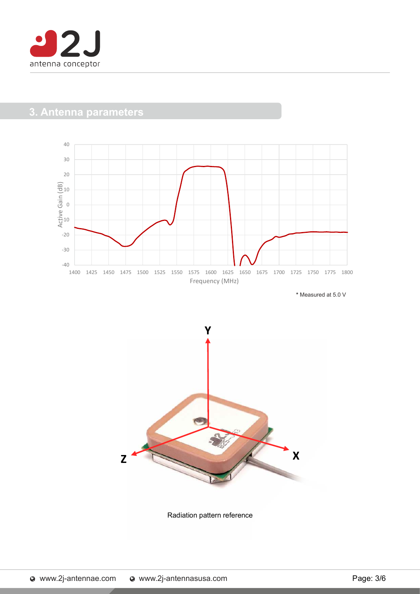

### **3. Antenna parameters**



**\*** Measured at 5.0 V



Radiation pattern reference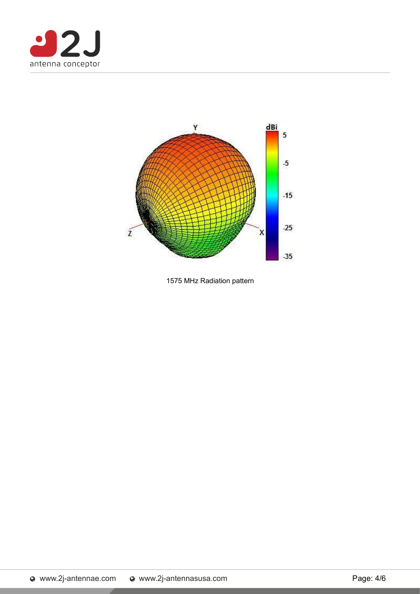



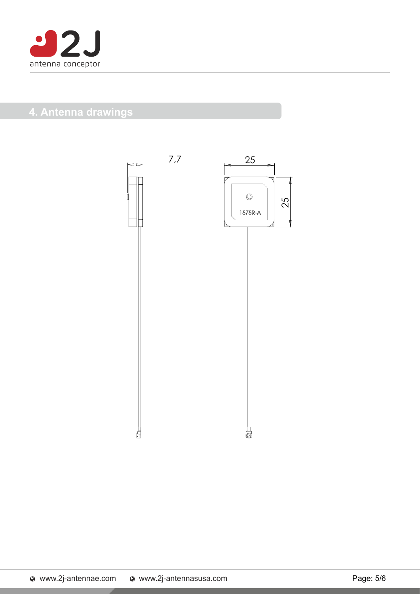

## **4. Antenna drawings**